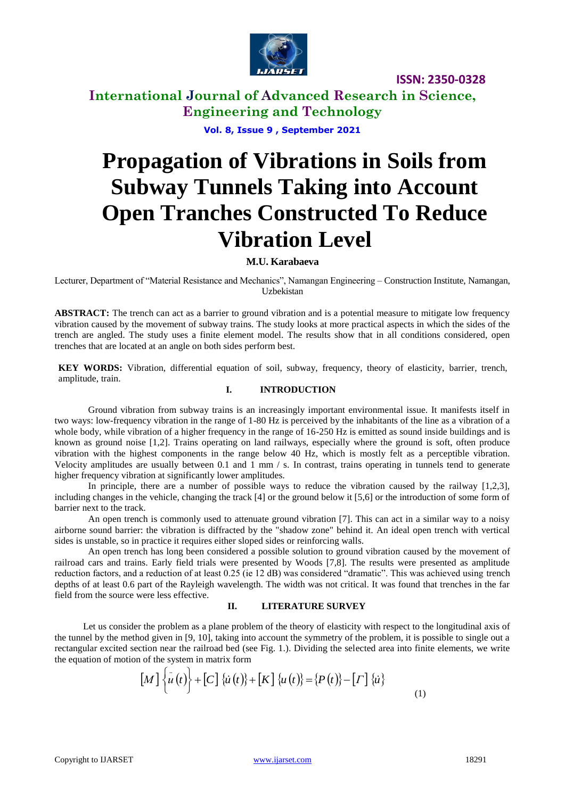

## **International Journal of Advanced Research in Science, Engineering and Technology**

**Vol. 8, Issue 9 , September 2021**

# **Propagation of Vibrations in Soils from Subway Tunnels Taking into Account Open Tranches Constructed To Reduce Vibration Level**

### **M.U. Karabaeva**

Lecturer, Department of "Material Resistance and Mechanics", Namangan Engineering – Construction Institute, Namangan, Uzbekistan

**ABSTRACT:** The trench can act as a barrier to ground vibration and is a potential measure to mitigate low frequency vibration caused by the movement of subway trains. The study looks at more practical aspects in which the sides of the trench are angled. The study uses a finite element model. The results show that in all conditions considered, open trenches that are located at an angle on both sides perform best.

**KEY WORDS:** Vibration, differential equation of soil, subway, frequency, theory of elasticity, barrier, trench, amplitude, train.

#### **I. INTRODUCTION**

Ground vibration from subway trains is an increasingly important environmental issue. It manifests itself in two ways: low-frequency vibration in the range of 1-80 Hz is perceived by the inhabitants of the line as a vibration of a whole body, while vibration of a higher frequency in the range of 16-250 Hz is emitted as sound inside buildings and is known as ground noise [1,2]. Trains operating on land railways, especially where the ground is soft, often produce vibration with the highest components in the range below 40 Hz, which is mostly felt as a perceptible vibration. Velocity amplitudes are usually between 0.1 and 1 mm / s. In contrast, trains operating in tunnels tend to generate higher frequency vibration at significantly lower amplitudes.

In principle, there are a number of possible ways to reduce the vibration caused by the railway [1,2,3], including changes in the vehicle, changing the track [4] or the ground below it [5,6] or the introduction of some form of barrier next to the track.

An open trench is commonly used to attenuate ground vibration [7]. This can act in a similar way to a noisy airborne sound barrier: the vibration is diffracted by the "shadow zone" behind it. An ideal open trench with vertical sides is unstable, so in practice it requires either sloped sides or reinforcing walls.

An open trench has long been considered a possible solution to ground vibration caused by the movement of railroad cars and trains. Early field trials were presented by Woods [7,8]. The results were presented as amplitude reduction factors, and a reduction of at least 0.25 (ie 12 dB) was considered "dramatic". This was achieved using trench depths of at least 0.6 part of the Rayleigh wavelength. The width was not critical. It was found that trenches in the far field from the source were less effective.

#### **II. LITERATURE SURVEY**

Let us consider the problem as a plane problem of the theory of elasticity with respect to the longitudinal axis of the tunnel by the method given in [9, 10], taking into account the symmetry of the problem, it is possible to single out a rectangular excited section near the railroad bed (see Fig. 1.). Dividing the selected area into finite elements, we write the equation of motion of the system in matrix form

$$
[M] \{\dot{u}(t)\} + [C] \{\dot{u}(t)\} + [K] \{u(t)\} = \{P(t)\} - [T] \{\dot{u}\}\
$$
 (1)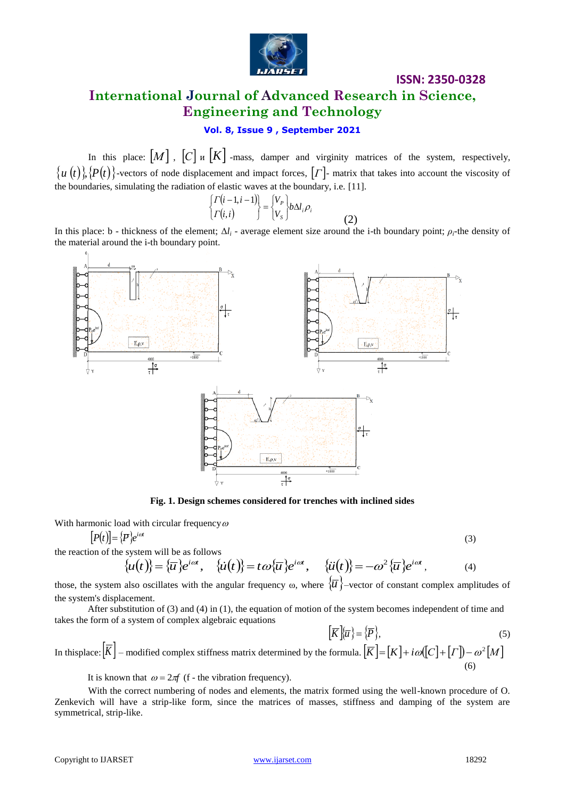

# **International Journal of Advanced Research in Science, Engineering and Technology**

### **Vol. 8, Issue 9 , September 2021**

In this place:  $[M]$ ,  $[C]$   $\mu$   $[K]$  -mass, damper and virginity matrices of the system, respectively,  $\{u(t)\}\$ ,  $\{P(t)\}\$ -vectors of node displacement and impact forces,  $\Gamma$ . matrix that takes into account the viscosity of the boundaries, simulating the radiation of elastic waves at the boundary, i.e. [11].

$$
\begin{cases}\n\Gamma(i-1,i-1) \\
\Gamma(i,i)\n\end{cases} = \begin{cases}\nV_P \\
V_S\n\end{cases} b \Delta l_i \rho_i
$$
\n(2)

In this place: b - thickness of the element;  $\Delta l_i$  - average element size around the i-th boundary point;  $\rho_i$ -the density of the material around the i-th boundary point.



**Fig. 1. Design schemes considered for trenches with inclined sides**

With harmonic load with circular frequency  $\omega$ 

$$
[P(t)] = \{P\}e^{i\omega t}
$$

the reaction of the system will be as follows

$$
\{\dot{u}(t)\} = \{\overline{u}\}e^{i\omega t}, \quad \{\dot{u}(t)\} = t\omega\{\overline{u}\}e^{i\omega t}, \quad \{\ddot{u}(t)\} = -\omega^2\{\overline{u}\}e^{i\omega t}, \tag{4}
$$

those, the system also oscillates with the angular frequency  $\omega$ , where  $\{\overline{u}\}$ -vector of constant complex amplitudes of the system's displacement.

After substitution of (3) and (4) in (1), the equation of motion of the system becomes independent of time and takes the form of a system of complex algebraic equations

$$
\left[\overline{K}\right]\!\!\left\{\overline{u}\right\} = \left\{\overline{P}\right\},\tag{5}
$$

In thisplace:  $|K|$  – modified complex stiffness matrix determined by the formula.  $|\overline{K}| = [K] + i\omega([C] + [T]) - \omega^2[M]$ (6)

It is known that  $\omega = 2\pi f$  (f - the vibration frequency).

With the correct numbering of nodes and elements, the matrix formed using the well-known procedure of O. Zenkevich will have a strip-like form, since the matrices of masses, stiffness and damping of the system are symmetrical, strip-like.

(3)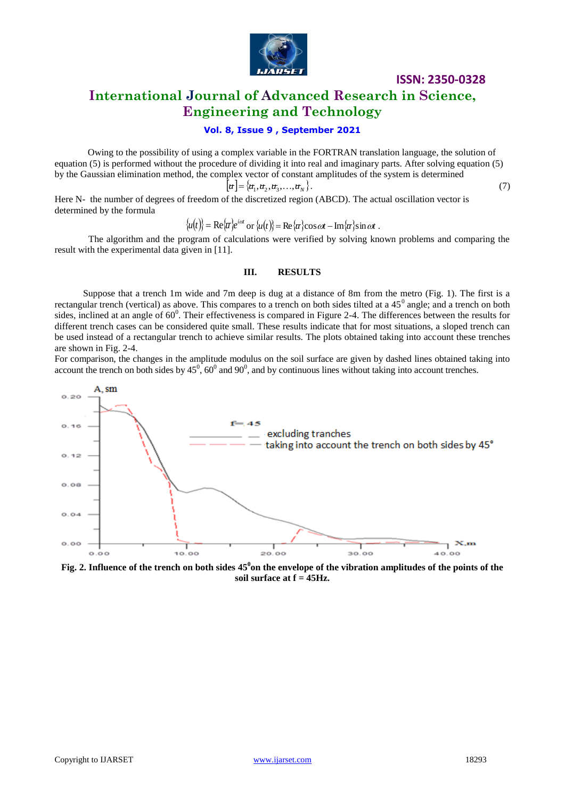

### **International Journal of Advanced Research in Science, Engineering and Technology**

### **Vol. 8, Issue 9 , September 2021**

Owing to the possibility of using a complex variable in the FORTRAN translation language, the solution of equation (5) is performed without the procedure of dividing it into real and imaginary parts. After solving equation (5) by the Gaussian elimination method, the complex vector of constant amplitudes of the system is determined

$$
\left[\pi\right] = \left\{\pi_1, \pi_2, \pi_3, \dots, \pi_N\right\}.\tag{7}
$$

Here N- the number of degrees of freedom of the discretized region (ABCD). The actual oscillation vector is determined by the formula

$$
\{u(t)\} = \text{Re}\{\overline{u}\}e^{i\omega t} \text{ or } \{u(t)\} = \text{Re}\{\overline{u}\}\cos \omega t - \text{Im}\{\overline{u}\}\sin \omega t \; .
$$

The algorithm and the program of calculations were verified by solving known problems and comparing the result with the experimental data given in [11].

#### **III. RESULTS**

Suppose that a trench 1m wide and 7m deep is dug at a distance of 8m from the metro (Fig. 1). The first is a rectangular trench (vertical) as above. This compares to a trench on both sides tilted at a  $45^\circ$  angle; and a trench on both sides, inclined at an angle of  $60^0$ . Their effectiveness is compared in Figure 2-4. The differences between the results for different trench cases can be considered quite small. These results indicate that for most situations, a sloped trench can be used instead of a rectangular trench to achieve similar results. The plots obtained taking into account these trenches are shown in Fig. 2-4.

For comparison, the changes in the amplitude modulus on the soil surface are given by dashed lines obtained taking into account the trench on both sides by  $45^{\circ}$ ,  $60^{\circ}$  and  $90^{\circ}$ , and by continuous lines without taking into account trenches.



**Fig. 2. Influence of the trench on both sides 45<sup>0</sup> on the envelope of the vibration amplitudes of the points of the soil surface at f = 45Hz.**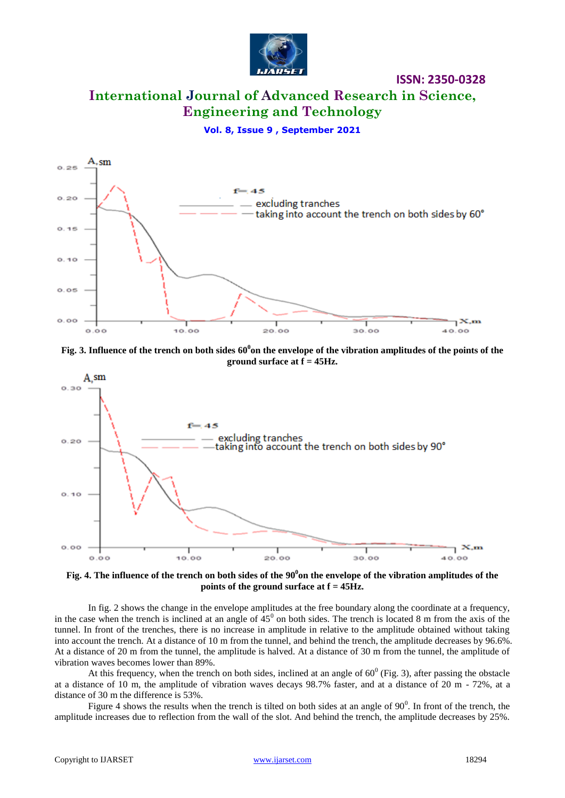

# **International Journal of Advanced Research in Science, Engineering and Technology**

**ISSN: 2350-0328**

**Vol. 8, Issue 9 , September 2021**



**Fig. 3. Influence of the trench on both sides 60<sup>0</sup> on the envelope of the vibration amplitudes of the points of the ground surface at f = 45Hz.**



**Fig. 4. The influence of the trench on both sides of the 90<sup>0</sup> on the envelope of the vibration amplitudes of the points of the ground surface at f = 45Hz.**

In fig. 2 shows the change in the envelope amplitudes at the free boundary along the coordinate at a frequency, in the case when the trench is inclined at an angle of  $45^{\circ}$  on both sides. The trench is located 8 m from the axis of the tunnel. In front of the trenches, there is no increase in amplitude in relative to the amplitude obtained without taking into account the trench. At a distance of 10 m from the tunnel, and behind the trench, the amplitude decreases by 96.6%. At a distance of 20 m from the tunnel, the amplitude is halved. At a distance of 30 m from the tunnel, the amplitude of vibration waves becomes lower than 89%.

At this frequency, when the trench on both sides, inclined at an angle of  $60^{\circ}$  (Fig. 3), after passing the obstacle at a distance of 10 m, the amplitude of vibration waves decays 98.7% faster, and at a distance of 20 m - 72%, at a distance of 30 m the difference is 53%.

Figure 4 shows the results when the trench is tilted on both sides at an angle of  $90^\circ$ . In front of the trench, the amplitude increases due to reflection from the wall of the slot. And behind the trench, the amplitude decreases by 25%.